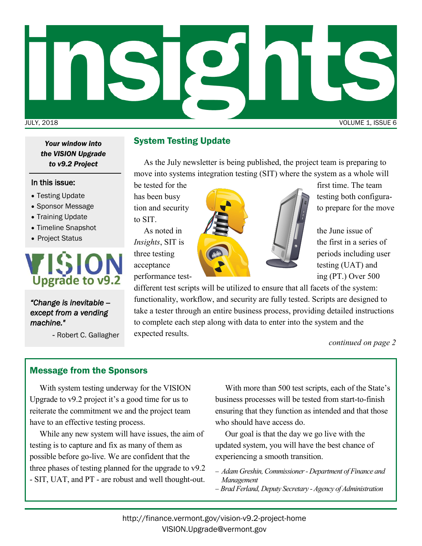

*the VISION Upgrade to v9.2 Project*

#### In this issue:

- Testing Update
- Sponsor Message
- Training Update
- Timeline Snapshot
- Project Status



*"Change is inevitable - except from a vending machine."* 

- Robert C. Gallagher

### *Your window into* System Testing Update

As the July newsletter is being published, the project team is preparing to move into systems integration testing (SIT) where the system as a whole will

to SIT.



different test scripts will be utilized to ensure that all facets of the system: functionality, workflow, and security are fully tested. Scripts are designed to take a tester through an entire business process, providing detailed instructions to complete each step along with data to enter into the system and the expected results.

*continued on page 2*

### Message from the Sponsors

With system testing underway for the VISION Upgrade to v9.2 project it's a good time for us to reiterate the commitment we and the project team have to an effective testing process.

While any new system will have issues, the aim of testing is to capture and fix as many of them as possible before go-live. We are confident that the three phases of testing planned for the upgrade to v9.2 - SIT, UAT, and PT - are robust and well thought-out.

With more than 500 test scripts, each of the State's business processes will be tested from start-to-finish ensuring that they function as intended and that those who should have access do.

Our goal is that the day we go live with the updated system, you will have the best chance of experiencing a smooth transition.

- − *Adam Greshin, Commissioner - Department of Finance and Management*
- − *Brad Ferland, Deputy Secretary - Agency of Administration*